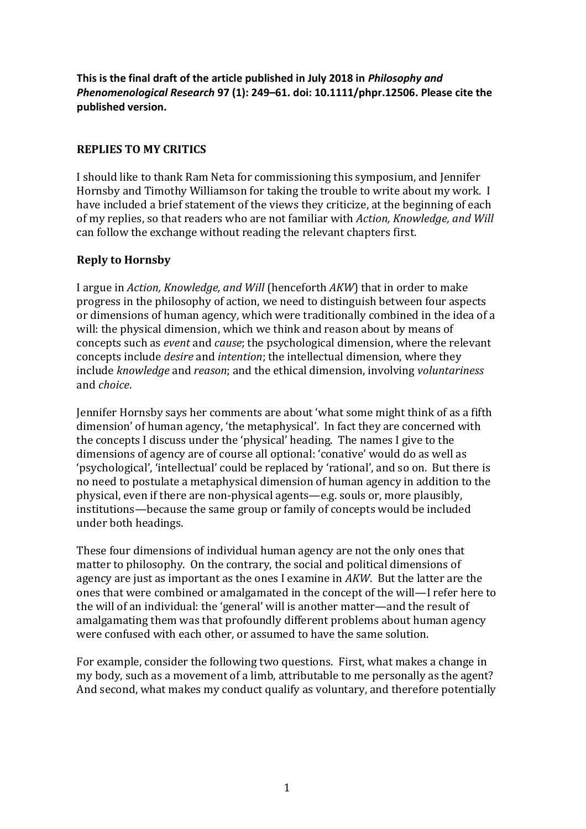**This is the final draft of the article published in July 2018 in** *Philosophy and Phenomenological Research* **97 (1): 249–61. doi: 10.1111/phpr.12506. Please cite the published version.**

## **REPLIES TO MY CRITICS**

I should like to thank Ram Neta for commissioning this symposium, and Jennifer Hornsby and Timothy Williamson for taking the trouble to write about my work. I have included a brief statement of the views they criticize, at the beginning of each of my replies, so that readers who are not familiar with *Action, Knowledge, and Will* can follow the exchange without reading the relevant chapters first.

## **Reply to Hornsby**

I argue in *Action, Knowledge, and Will* (henceforth *AKW*) that in order to make progress in the philosophy of action, we need to distinguish between four aspects or dimensions of human agency, which were traditionally combined in the idea of a will: the physical dimension, which we think and reason about by means of concepts such as *event* and *cause*; the psychological dimension, where the relevant concepts include *desire* and *intention*; the intellectual dimension, where they include *knowledge* and *reason*; and the ethical dimension, involving *voluntariness*  and *choice*.

Jennifer Hornsby says her comments are about 'what some might think of as a fifth dimension' of human agency, 'the metaphysical'. In fact they are concerned with the concepts I discuss under the 'physical' heading. The names I give to the dimensions of agency are of course all optional: 'conative' would do as well as 'psychological', 'intellectual' could be replaced by 'rational', and so on. But there is no need to postulate a metaphysical dimension of human agency in addition to the physical, even if there are non-physical agents—e.g. souls or, more plausibly, institutions—because the same group or family of concepts would be included under both headings.

These four dimensions of individual human agency are not the only ones that matter to philosophy. On the contrary, the social and political dimensions of agency are just as important as the ones I examine in *AKW*. But the latter are the ones that were combined or amalgamated in the concept of the will—I refer here to the will of an individual: the 'general' will is another matter—and the result of amalgamating them was that profoundly different problems about human agency were confused with each other, or assumed to have the same solution.

For example, consider the following two questions. First, what makes a change in my body, such as a movement of a limb, attributable to me personally as the agent? And second, what makes my conduct qualify as voluntary, and therefore potentially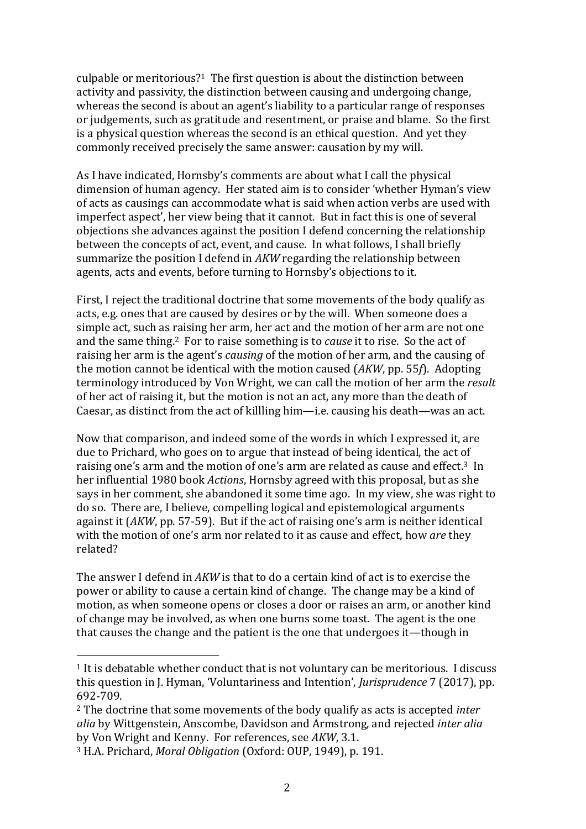culpable or meritorious? <sup>1</sup> The first question is about the distinction between activity and passivity, the distinction between causing and undergoing change, whereas the second is about an agent's liability to a particular range of responses or judgements, such as gratitude and resentment, or praise and blame. So the first is a physical question whereas the second is an ethical question. And yet they commonly received precisely the same answer: causation by my will.

As I have indicated, Hornsby's comments are about what I call the physical dimension of human agency. Her stated aim is to consider 'whether Hyman's view of acts as causings can accommodate what is said when action verbs are used with imperfect aspect', her view being that it cannot. But in fact this is one of several objections she advances against the position I defend concerning the relationship between the concepts of act, event, and cause. In what follows, I shall briefly summarize the position I defend in *AKW* regarding the relationship between agents, acts and events, before turning to Hornsby's objections to it.

First, I reject the traditional doctrine that some movements of the body qualify as acts, e.g. ones that are caused by desires or by the will. When someone does a simple act, such as raising her arm, her act and the motion of her arm are not one and the same thing. <sup>2</sup> For to raise something is to *cause* it to rise. So the act of raising her arm is the agent's *causing* of the motion of her arm, and the causing of the motion cannot be identical with the motion caused (*AKW*, pp. 55*f*). Adopting terminology introduced by Von Wright, we can call the motion of her arm the *result*  of her act of raising it, but the motion is not an act, any more than the death of Caesar, as distinct from the act of killling him—i.e. causing his death—was an act.

Now that comparison, and indeed some of the words in which I expressed it, are due to Prichard, who goes on to argue that instead of being identical, the act of raising one's arm and the motion of one's arm are related as cause and effect.3 In her influential 1980 book *Actions*, Hornsby agreed with this proposal, but as she says in her comment, she abandoned it some time ago. In my view, she was right to do so. There are, I believe, compelling logical and epistemological arguments against it (*AKW*, pp. 57-59). But if the act of raising one's arm is neither identical with the motion of one's arm nor related to it as cause and effect, how *are* they related?

The answer I defend in *AKW* is that to do a certain kind of act is to exercise the power or ability to cause a certain kind of change. The change may be a kind of motion, as when someone opens or closes a door or raises an arm, or another kind of change may be involved, as when one burns some toast. The agent is the one that causes the change and the patient is the one that undergoes it—though in

<sup>1</sup> It is debatable whether conduct that is not voluntary can be meritorious. I discuss this question in J. Hyman, 'Voluntariness and Intention', *Jurisprudence* 7 (2017), pp. 692-709.

<sup>2</sup> The doctrine that some movements of the body qualify as acts is accepted *inter alia* by Wittgenstein, Anscombe, Davidson and Armstrong, and rejected *inter alia* by Von Wright and Kenny. For references, see *AKW*, 3.1.

<sup>3</sup> H.A. Prichard, *Moral Obligation* (Oxford: OUP, 1949), p. 191.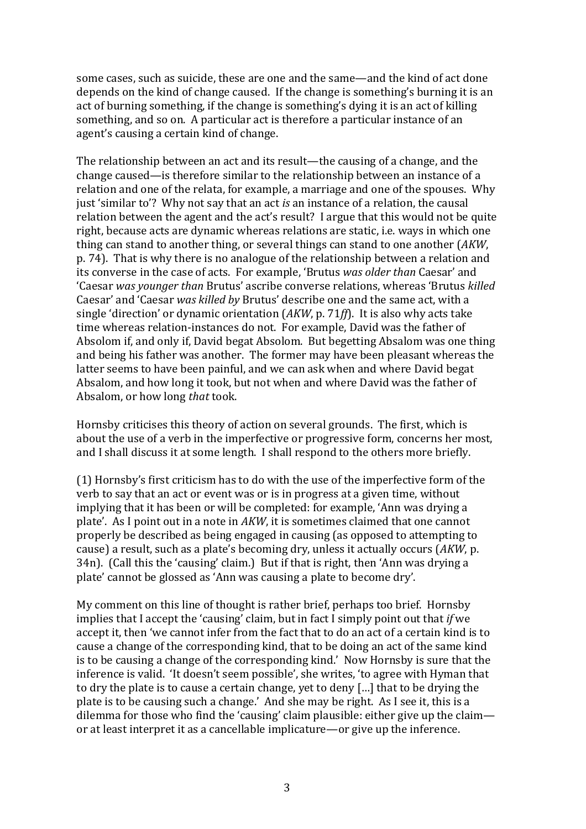some cases, such as suicide, these are one and the same—and the kind of act done depends on the kind of change caused. If the change is something's burning it is an act of burning something, if the change is something's dying it is an act of killing something, and so on. A particular act is therefore a particular instance of an agent's causing a certain kind of change.

The relationship between an act and its result—the causing of a change, and the change caused—is therefore similar to the relationship between an instance of a relation and one of the relata, for example, a marriage and one of the spouses. Why just 'similar to'? Why not say that an act *is* an instance of a relation, the causal relation between the agent and the act's result? I argue that this would not be quite right, because acts are dynamic whereas relations are static, i.e. ways in which one thing can stand to another thing, or several things can stand to one another (*AKW*, p. 74). That is why there is no analogue of the relationship between a relation and its converse in the case of acts. For example, 'Brutus *was older than* Caesar' and 'Caesar *was younger than* Brutus' ascribe converse relations, whereas 'Brutus *killed*  Caesar' and 'Caesar *was killed by* Brutus' describe one and the same act, with a single 'direction' or dynamic orientation (*AKW*, p. 71*ff*). It is also why acts take time whereas relation-instances do not. For example, David was the father of Absolom if, and only if, David begat Absolom. But begetting Absalom was one thing and being his father was another. The former may have been pleasant whereas the latter seems to have been painful, and we can ask when and where David begat Absalom, and how long it took, but not when and where David was the father of Absalom, or how long *that* took.

Hornsby criticises this theory of action on several grounds. The first, which is about the use of a verb in the imperfective or progressive form, concerns her most, and I shall discuss it at some length. I shall respond to the others more briefly.

(1) Hornsby's first criticism has to do with the use of the imperfective form of the verb to say that an act or event was or is in progress at a given time, without implying that it has been or will be completed: for example, 'Ann was drying a plate'. As I point out in a note in *AKW*, it is sometimes claimed that one cannot properly be described as being engaged in causing (as opposed to attempting to cause) a result, such as a plate's becoming dry, unless it actually occurs (*AKW*, p. 34n). (Call this the 'causing' claim.) But if that is right, then 'Ann was drying a plate' cannot be glossed as 'Ann was causing a plate to become dry'.

My comment on this line of thought is rather brief, perhaps too brief. Hornsby implies that I accept the 'causing' claim, but in fact I simply point out that *if* we accept it, then 'we cannot infer from the fact that to do an act of a certain kind is to cause a change of the corresponding kind, that to be doing an act of the same kind is to be causing a change of the corresponding kind.' Now Hornsby is sure that the inference is valid. 'It doesn't seem possible', she writes, 'to agree with Hyman that to dry the plate is to cause a certain change, yet to deny […] that to be drying the plate is to be causing such a change.' And she may be right. As I see it, this is a dilemma for those who find the 'causing' claim plausible: either give up the claim or at least interpret it as a cancellable implicature—or give up the inference.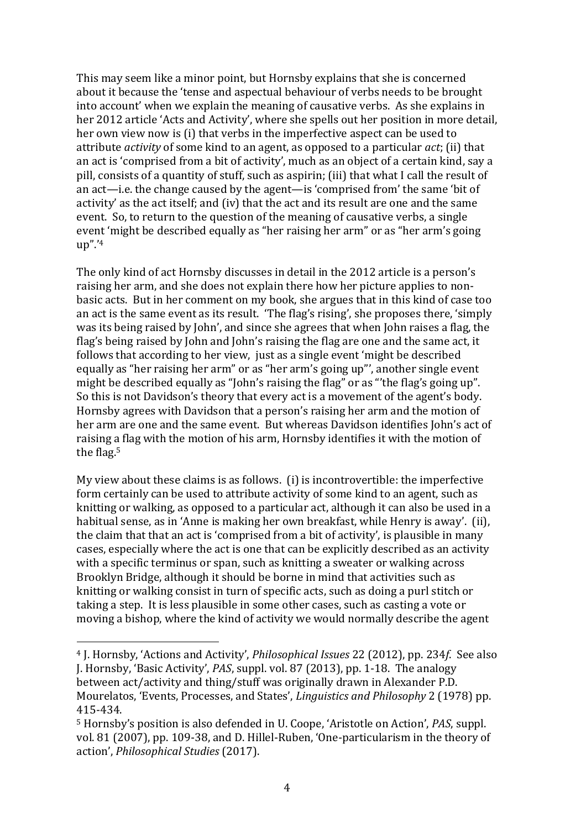This may seem like a minor point, but Hornsby explains that she is concerned about it because the 'tense and aspectual behaviour of verbs needs to be brought into account' when we explain the meaning of causative verbs. As she explains in her 2012 article 'Acts and Activity', where she spells out her position in more detail, her own view now is (i) that verbs in the imperfective aspect can be used to attribute *activity* of some kind to an agent, as opposed to a particular *act*; (ii) that an act is 'comprised from a bit of activity', much as an object of a certain kind, say a pill, consists of a quantity of stuff, such as aspirin; (iii) that what I call the result of an act—i.e. the change caused by the agent—is 'comprised from' the same 'bit of activity' as the act itself; and (iv) that the act and its result are one and the same event. So, to return to the question of the meaning of causative verbs, a single event 'might be described equally as "her raising her arm" or as "her arm's going up".'<sup>4</sup>

The only kind of act Hornsby discusses in detail in the 2012 article is a person's raising her arm, and she does not explain there how her picture applies to nonbasic acts. But in her comment on my book, she argues that in this kind of case too an act is the same event as its result. 'The flag's rising', she proposes there, 'simply was its being raised by John', and since she agrees that when John raises a flag, the flag's being raised by John and John's raising the flag are one and the same act, it follows that according to her view, just as a single event 'might be described equally as "her raising her arm" or as "her arm's going up"', another single event might be described equally as "John's raising the flag" or as "'the flag's going up". So this is not Davidson's theory that every act is a movement of the agent's body. Hornsby agrees with Davidson that a person's raising her arm and the motion of her arm are one and the same event. But whereas Davidson identifies John's act of raising a flag with the motion of his arm, Hornsby identifies it with the motion of the flag. 5

My view about these claims is as follows. (i) is incontrovertible: the imperfective form certainly can be used to attribute activity of some kind to an agent, such as knitting or walking, as opposed to a particular act, although it can also be used in a habitual sense, as in 'Anne is making her own breakfast, while Henry is away'. (ii), the claim that that an act is 'comprised from a bit of activity', is plausible in many cases, especially where the act is one that can be explicitly described as an activity with a specific terminus or span, such as knitting a sweater or walking across Brooklyn Bridge, although it should be borne in mind that activities such as knitting or walking consist in turn of specific acts, such as doing a purl stitch or taking a step. It is less plausible in some other cases, such as casting a vote or moving a bishop, where the kind of activity we would normally describe the agent

<sup>4</sup> J. Hornsby, 'Actions and Activity', *Philosophical Issues* 22 (2012), pp. 234*f*. See also J. Hornsby, 'Basic Activity', *PAS*, suppl. vol. 87 (2013), pp. 1-18. The analogy between act/activity and thing/stuff was originally drawn in Alexander P.D. Mourelatos, 'Events, Processes, and States', *Linguistics and Philosophy* 2 (1978) pp. 415-434.

<sup>5</sup> Hornsby's position is also defended in U. Coope, 'Aristotle on Action', *PAS*, suppl. vol. 81 (2007), pp. 109-38, and D. Hillel-Ruben, 'One-particularism in the theory of action', *Philosophical Studies* (2017).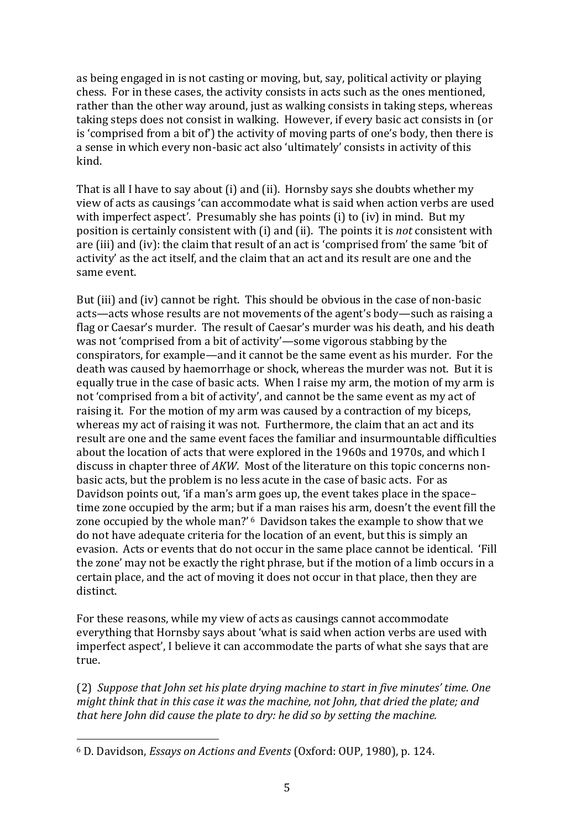as being engaged in is not casting or moving, but, say, political activity or playing chess. For in these cases, the activity consists in acts such as the ones mentioned, rather than the other way around, just as walking consists in taking steps, whereas taking steps does not consist in walking. However, if every basic act consists in (or is 'comprised from a bit of') the activity of moving parts of one's body, then there is a sense in which every non-basic act also 'ultimately' consists in activity of this kind.

That is all I have to say about (i) and (ii). Hornsby says she doubts whether my view of acts as causings 'can accommodate what is said when action verbs are used with imperfect aspect'. Presumably she has points (i) to (iv) in mind. But my position is certainly consistent with (i) and (ii). The points it is *not* consistent with are (iii) and (iv): the claim that result of an act is 'comprised from' the same 'bit of activity' as the act itself, and the claim that an act and its result are one and the same event.

But (iii) and (iv) cannot be right. This should be obvious in the case of non-basic acts—acts whose results are not movements of the agent's body—such as raising a flag or Caesar's murder. The result of Caesar's murder was his death, and his death was not 'comprised from a bit of activity'—some vigorous stabbing by the conspirators, for example—and it cannot be the same event as his murder. For the death was caused by haemorrhage or shock, whereas the murder was not. But it is equally true in the case of basic acts. When I raise my arm, the motion of my arm is not 'comprised from a bit of activity', and cannot be the same event as my act of raising it. For the motion of my arm was caused by a contraction of my biceps, whereas my act of raising it was not. Furthermore, the claim that an act and its result are one and the same event faces the familiar and insurmountable difficulties about the location of acts that were explored in the 1960s and 1970s, and which I discuss in chapter three of *AKW*. Most of the literature on this topic concerns nonbasic acts, but the problem is no less acute in the case of basic acts. For as Davidson points out, 'if a man's arm goes up, the event takes place in the space– time zone occupied by the arm; but if a man raises his arm, doesn't the event fill the zone occupied by the whole man?' <sup>6</sup> Davidson takes the example to show that we do not have adequate criteria for the location of an event, but this is simply an evasion. Acts or events that do not occur in the same place cannot be identical. 'Fill the zone' may not be exactly the right phrase, but if the motion of a limb occurs in a certain place, and the act of moving it does not occur in that place, then they are distinct.

For these reasons, while my view of acts as causings cannot accommodate everything that Hornsby says about 'what is said when action verbs are used with imperfect aspect', I believe it can accommodate the parts of what she says that are true.

(2) *Suppose that John set his plate drying machine to start in five minutes' time. One might think that in this case it was the machine, not John, that dried the plate; and that here John did cause the plate to dry: he did so by setting the machine.*

<sup>6</sup> D. Davidson, *Essays on Actions and Events* (Oxford: OUP, 1980), p. 124.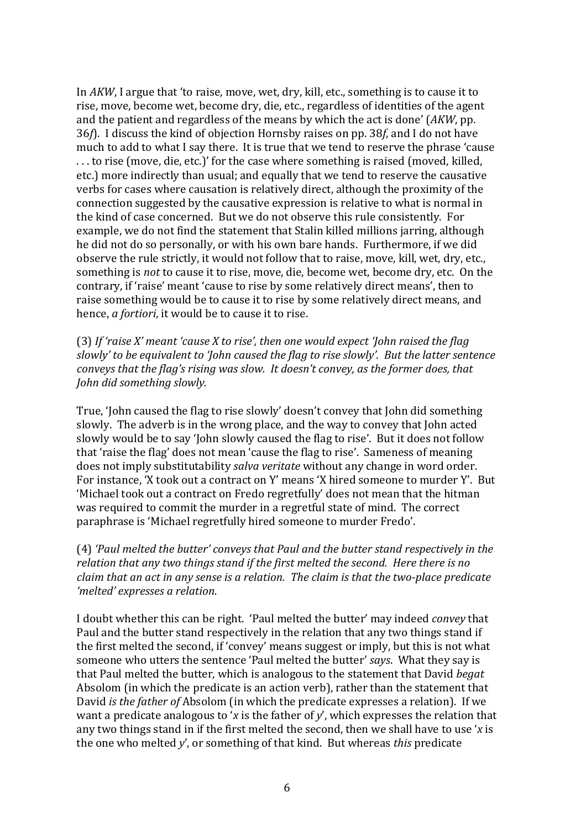In *AKW*, I argue that 'to raise, move, wet, dry, kill, etc., something is to cause it to rise, move, become wet, become dry, die, etc., regardless of identities of the agent and the patient and regardless of the means by which the act is done' (*AKW*, pp. 36*f*). I discuss the kind of objection Hornsby raises on pp. 38*f*, and I do not have much to add to what I say there. It is true that we tend to reserve the phrase 'cause . . . to rise (move, die, etc.)' for the case where something is raised (moved, killed, etc.) more indirectly than usual; and equally that we tend to reserve the causative verbs for cases where causation is relatively direct, although the proximity of the connection suggested by the causative expression is relative to what is normal in the kind of case concerned. But we do not observe this rule consistently. For example, we do not find the statement that Stalin killed millions jarring, although he did not do so personally, or with his own bare hands. Furthermore, if we did observe the rule strictly, it would not follow that to raise, move, kill, wet, dry, etc., something is *not* to cause it to rise, move, die, become wet, become dry, etc. On the contrary, if 'raise' meant 'cause to rise by some relatively direct means', then to raise something would be to cause it to rise by some relatively direct means, and hence, *a fortiori*, it would be to cause it to rise.

(3) *If 'raise X' meant 'cause X to rise', then one would expect 'John raised the flag slowly' to be equivalent to 'John caused the flag to rise slowly'. But the latter sentence conveys that the flag's rising was slow. It doesn't convey, as the former does, that John did something slowly.*

True, 'John caused the flag to rise slowly' doesn't convey that John did something slowly. The adverb is in the wrong place, and the way to convey that John acted slowly would be to say 'John slowly caused the flag to rise'. But it does not follow that 'raise the flag' does not mean 'cause the flag to rise'. Sameness of meaning does not imply substitutability *salva veritate* without any change in word order. For instance, 'X took out a contract on Y' means 'X hired someone to murder Y'. But 'Michael took out a contract on Fredo regretfully' does not mean that the hitman was required to commit the murder in a regretful state of mind. The correct paraphrase is 'Michael regretfully hired someone to murder Fredo'.

(4) *'Paul melted the butter' conveys that Paul and the butter stand respectively in the relation that any two things stand if the first melted the second. Here there is no claim that an act in any sense is a relation. The claim is that the two-place predicate 'melted' expresses a relation.*

I doubt whether this can be right. 'Paul melted the butter' may indeed *convey* that Paul and the butter stand respectively in the relation that any two things stand if the first melted the second, if 'convey' means suggest or imply, but this is not what someone who utters the sentence 'Paul melted the butter' *says*. What they say is that Paul melted the butter, which is analogous to the statement that David *begat* Absolom (in which the predicate is an action verb), rather than the statement that David *is the father of* Absolom (in which the predicate expresses a relation). If we want a predicate analogous to '*x* is the father of *y*', which expresses the relation that any two things stand in if the first melted the second, then we shall have to use '*x* is the one who melted *y*', or something of that kind. But whereas *this* predicate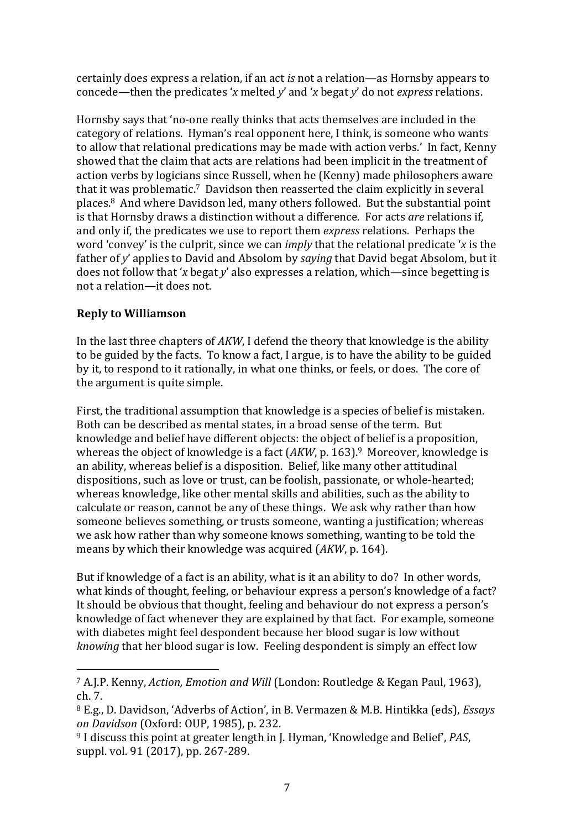certainly does express a relation, if an act *is* not a relation—as Hornsby appears to concede—then the predicates '*x* melted *y*' and '*x* begat *y*' do not *express* relations.

Hornsby says that 'no-one really thinks that acts themselves are included in the category of relations. Hyman's real opponent here, I think, is someone who wants to allow that relational predications may be made with action verbs.' In fact, Kenny showed that the claim that acts are relations had been implicit in the treatment of action verbs by logicians since Russell, when he (Kenny) made philosophers aware that it was problematic. <sup>7</sup> Davidson then reasserted the claim explicitly in several places. <sup>8</sup> And where Davidson led, many others followed. But the substantial point is that Hornsby draws a distinction without a difference. For acts *are* relations if, and only if, the predicates we use to report them *express* relations. Perhaps the word 'convey' is the culprit, since we can *imply* that the relational predicate '*x* is the father of *y*' applies to David and Absolom by *saying* that David begat Absolom, but it does not follow that '*x* begat *y*' also expresses a relation, which—since begetting is not a relation—it does not.

## **Reply to Williamson**

In the last three chapters of *AKW*, I defend the theory that knowledge is the ability to be guided by the facts. To know a fact, I argue, is to have the ability to be guided by it, to respond to it rationally, in what one thinks, or feels, or does. The core of the argument is quite simple.

First, the traditional assumption that knowledge is a species of belief is mistaken. Both can be described as mental states, in a broad sense of the term. But knowledge and belief have different objects: the object of belief is a proposition, whereas the object of knowledge is a fact (*AKW*, p. 163).<sup>9</sup> Moreover, knowledge is an ability, whereas belief is a disposition. Belief, like many other attitudinal dispositions, such as love or trust, can be foolish, passionate, or whole-hearted; whereas knowledge, like other mental skills and abilities, such as the ability to calculate or reason, cannot be any of these things. We ask why rather than how someone believes something, or trusts someone, wanting a justification; whereas we ask how rather than why someone knows something, wanting to be told the means by which their knowledge was acquired (*AKW*, p. 164).

But if knowledge of a fact is an ability, what is it an ability to do? In other words, what kinds of thought, feeling, or behaviour express a person's knowledge of a fact? It should be obvious that thought, feeling and behaviour do not express a person's knowledge of fact whenever they are explained by that fact. For example, someone with diabetes might feel despondent because her blood sugar is low without *knowing* that her blood sugar is low. Feeling despondent is simply an effect low

<sup>7</sup> A.J.P. Kenny, *Action, Emotion and Will* (London: Routledge & Kegan Paul, 1963), ch. 7.

<sup>8</sup> E.g., D. Davidson, 'Adverbs of Action', in B. Vermazen & M.B. Hintikka (eds), *Essays on Davidson* (Oxford: OUP, 1985), p. 232.

<sup>9</sup> I discuss this point at greater length in J. Hyman, 'Knowledge and Belief', *PAS*, suppl. vol. 91 (2017), pp. 267-289.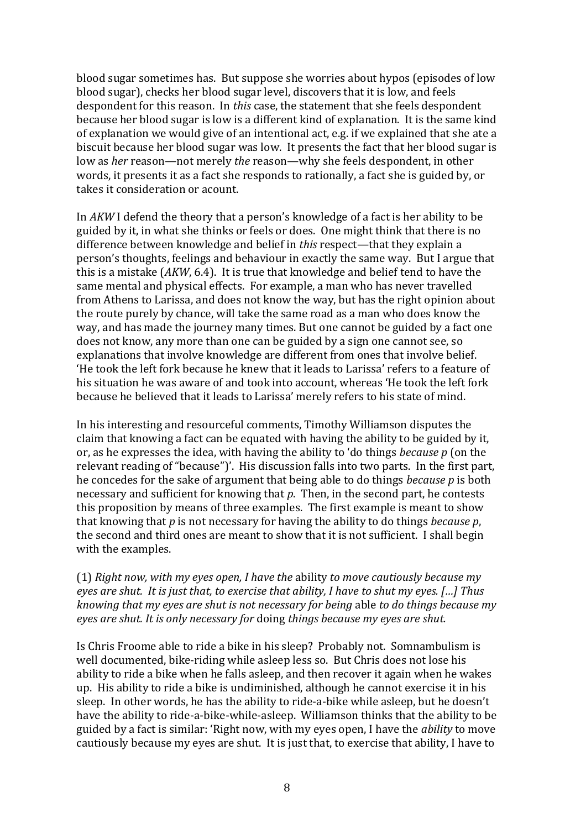blood sugar sometimes has. But suppose she worries about hypos (episodes of low blood sugar), checks her blood sugar level, discovers that it is low, and feels despondent for this reason. In *this* case, the statement that she feels despondent because her blood sugar is low is a different kind of explanation. It is the same kind of explanation we would give of an intentional act, e.g. if we explained that she ate a biscuit because her blood sugar was low. It presents the fact that her blood sugar is low as *her* reason—not merely *the* reason—why she feels despondent, in other words, it presents it as a fact she responds to rationally, a fact she is guided by, or takes it consideration or acount.

In *AKW* I defend the theory that a person's knowledge of a fact is her ability to be guided by it, in what she thinks or feels or does. One might think that there is no difference between knowledge and belief in *this* respect—that they explain a person's thoughts, feelings and behaviour in exactly the same way. But I argue that this is a mistake (*AKW*, 6.4). It is true that knowledge and belief tend to have the same mental and physical effects. For example, a man who has never travelled from Athens to Larissa, and does not know the way, but has the right opinion about the route purely by chance, will take the same road as a man who does know the way, and has made the journey many times. But one cannot be guided by a fact one does not know, any more than one can be guided by a sign one cannot see, so explanations that involve knowledge are different from ones that involve belief. 'He took the left fork because he knew that it leads to Larissa' refers to a feature of his situation he was aware of and took into account, whereas 'He took the left fork because he believed that it leads to Larissa' merely refers to his state of mind.

In his interesting and resourceful comments, Timothy Williamson disputes the claim that knowing a fact can be equated with having the ability to be guided by it, or, as he expresses the idea, with having the ability to 'do things *because p* (on the relevant reading of "because")'. His discussion falls into two parts. In the first part, he concedes for the sake of argument that being able to do things *because p* is both necessary and sufficient for knowing that *p*. Then, in the second part, he contests this proposition by means of three examples. The first example is meant to show that knowing that *p* is not necessary for having the ability to do things *because p*, the second and third ones are meant to show that it is not sufficient. I shall begin with the examples.

(1) *Right now, with my eyes open, I have the* ability *to move cautiously because my eyes are shut. It is just that, to exercise that ability, I have to shut my eyes. […] Thus knowing that my eyes are shut is not necessary for being* able *to do things because my eyes are shut. It is only necessary for* doing *things because my eyes are shut.*

Is Chris Froome able to ride a bike in his sleep? Probably not. Somnambulism is well documented, bike-riding while asleep less so. But Chris does not lose his ability to ride a bike when he falls asleep, and then recover it again when he wakes up. His ability to ride a bike is undiminished, although he cannot exercise it in his sleep. In other words, he has the ability to ride-a-bike while asleep, but he doesn't have the ability to ride-a-bike-while-asleep. Williamson thinks that the ability to be guided by a fact is similar: 'Right now, with my eyes open, I have the *ability* to move cautiously because my eyes are shut. It is just that, to exercise that ability, I have to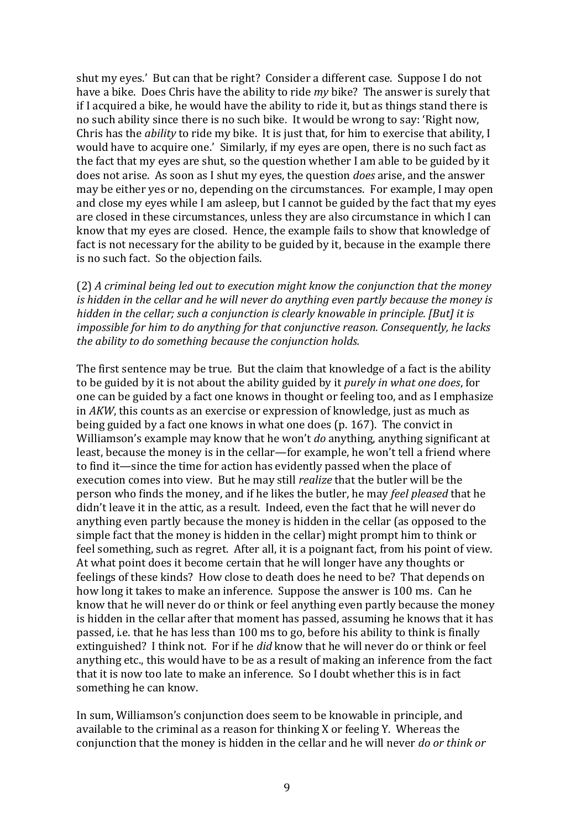shut my eyes.' But can that be right? Consider a different case. Suppose I do not have a bike. Does Chris have the ability to ride *my* bike? The answer is surely that if I acquired a bike, he would have the ability to ride it, but as things stand there is no such ability since there is no such bike. It would be wrong to say: 'Right now, Chris has the *ability* to ride my bike. It is just that, for him to exercise that ability, I would have to acquire one.' Similarly, if my eyes are open, there is no such fact as the fact that my eyes are shut, so the question whether I am able to be guided by it does not arise. As soon as I shut my eyes, the question *does* arise, and the answer may be either yes or no, depending on the circumstances. For example, I may open and close my eyes while I am asleep, but I cannot be guided by the fact that my eyes are closed in these circumstances, unless they are also circumstance in which I can know that my eyes are closed. Hence, the example fails to show that knowledge of fact is not necessary for the ability to be guided by it, because in the example there is no such fact. So the objection fails.

(2) *A criminal being led out to execution might know the conjunction that the money is hidden in the cellar and he will never do anything even partly because the money is hidden in the cellar; such a conjunction is clearly knowable in principle. [But] it is impossible for him to do anything for that conjunctive reason. Consequently, he lacks the ability to do something because the conjunction holds.*

The first sentence may be true. But the claim that knowledge of a fact is the ability to be guided by it is not about the ability guided by it *purely in what one does*, for one can be guided by a fact one knows in thought or feeling too, and as I emphasize in *AKW*, this counts as an exercise or expression of knowledge, just as much as being guided by a fact one knows in what one does (p. 167). The convict in Williamson's example may know that he won't *do* anything, anything significant at least, because the money is in the cellar—for example, he won't tell a friend where to find it—since the time for action has evidently passed when the place of execution comes into view. But he may still *realize* that the butler will be the person who finds the money, and if he likes the butler, he may *feel pleased* that he didn't leave it in the attic, as a result. Indeed, even the fact that he will never do anything even partly because the money is hidden in the cellar (as opposed to the simple fact that the money is hidden in the cellar) might prompt him to think or feel something, such as regret. After all, it is a poignant fact, from his point of view. At what point does it become certain that he will longer have any thoughts or feelings of these kinds? How close to death does he need to be? That depends on how long it takes to make an inference. Suppose the answer is 100 ms. Can he know that he will never do or think or feel anything even partly because the money is hidden in the cellar after that moment has passed, assuming he knows that it has passed, i.e. that he has less than 100 ms to go, before his ability to think is finally extinguished? I think not. For if he *did* know that he will never do or think or feel anything etc., this would have to be as a result of making an inference from the fact that it is now too late to make an inference. So I doubt whether this is in fact something he can know.

In sum, Williamson's conjunction does seem to be knowable in principle, and available to the criminal as a reason for thinking X or feeling Y. Whereas the conjunction that the money is hidden in the cellar and he will never *do or think or*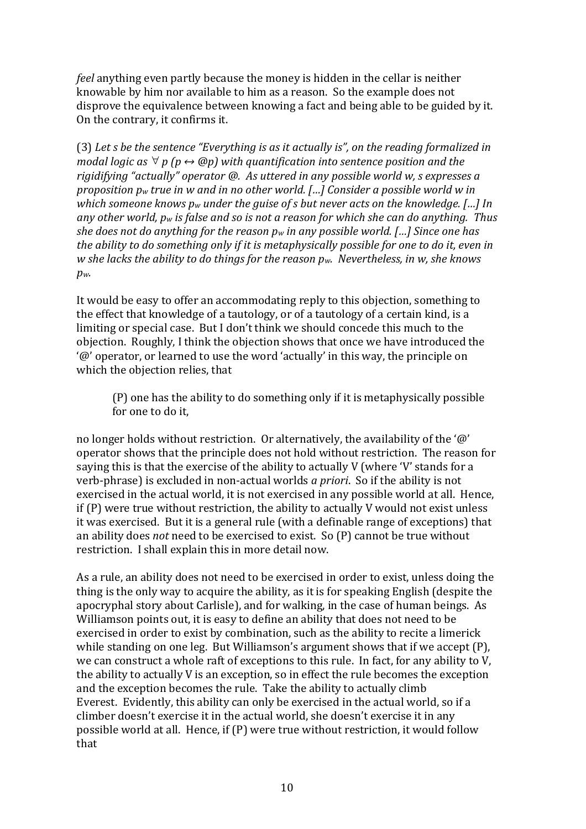*feel* anything even partly because the money is hidden in the cellar is neither knowable by him nor available to him as a reason. So the example does not disprove the equivalence between knowing a fact and being able to be guided by it. On the contrary, it confirms it.

(3) *Let s be the sentence "Everything is as it actually is", on the reading formalized in modal logic as p (p ↔ @p) with quantification into sentence position and the rigidifying "actually" operator @. As uttered in any possible world w, s expresses a proposition p<sup>w</sup> true in w and in no other world. […] Consider a possible world w in which someone knows p<sup>w</sup> under the guise of s but never acts on the knowledge. […] In any other world, p<sup>w</sup> is false and so is not a reason for which she can do anything. Thus she does not do anything for the reason p<sup>w</sup> in any possible world. […] Since one has the ability to do something only if it is metaphysically possible for one to do it, even in w she lacks the ability to do things for the reason pw. Nevertheless, in w, she knows pw.*

It would be easy to offer an accommodating reply to this objection, something to the effect that knowledge of a tautology, or of a tautology of a certain kind, is a limiting or special case. But I don't think we should concede this much to the objection. Roughly, I think the objection shows that once we have introduced the '@' operator, or learned to use the word 'actually' in this way, the principle on which the objection relies, that

(P) one has the ability to do something only if it is metaphysically possible for one to do it,

no longer holds without restriction. Or alternatively, the availability of the '@' operator shows that the principle does not hold without restriction. The reason for saying this is that the exercise of the ability to actually V (where 'V' stands for a verb-phrase) is excluded in non-actual worlds *a priori*. So if the ability is not exercised in the actual world, it is not exercised in any possible world at all. Hence, if (P) were true without restriction, the ability to actually V would not exist unless it was exercised. But it is a general rule (with a definable range of exceptions) that an ability does *not* need to be exercised to exist. So (P) cannot be true without restriction. I shall explain this in more detail now.

As a rule, an ability does not need to be exercised in order to exist, unless doing the thing is the only way to acquire the ability, as it is for speaking English (despite the apocryphal story about Carlisle), and for walking, in the case of human beings. As Williamson points out, it is easy to define an ability that does not need to be exercised in order to exist by combination, such as the ability to recite a limerick while standing on one leg. But Williamson's argument shows that if we accept (P), we can construct a whole raft of exceptions to this rule. In fact, for any ability to V, the ability to actually V is an exception, so in effect the rule becomes the exception and the exception becomes the rule. Take the ability to actually climb Everest. Evidently, this ability can only be exercised in the actual world, so if a climber doesn't exercise it in the actual world, she doesn't exercise it in any possible world at all. Hence, if (P) were true without restriction, it would follow that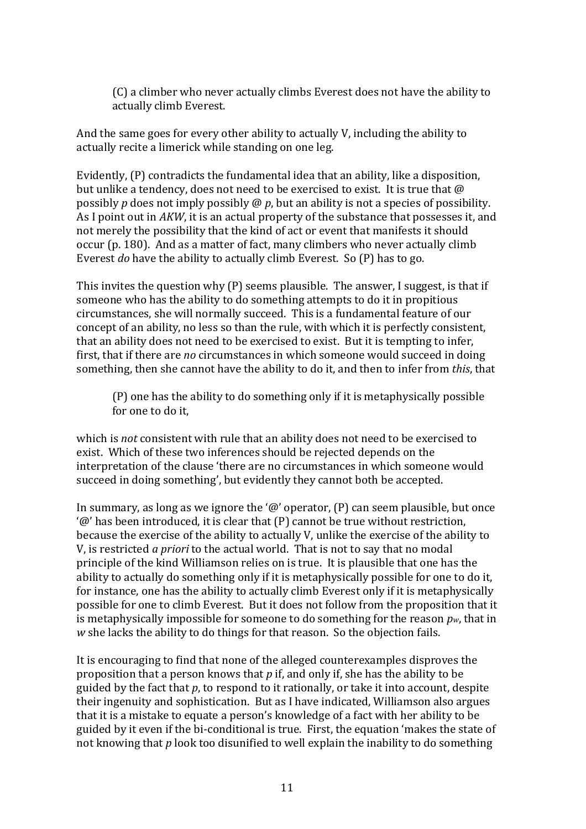(C) a climber who never actually climbs Everest does not have the ability to actually climb Everest.

And the same goes for every other ability to actually V, including the ability to actually recite a limerick while standing on one leg.

Evidently, (P) contradicts the fundamental idea that an ability, like a disposition, but unlike a tendency, does not need to be exercised to exist. It is true that @ possibly *p* does not imply possibly @ *p*, but an ability is not a species of possibility. As I point out in *AKW*, it is an actual property of the substance that possesses it, and not merely the possibility that the kind of act or event that manifests it should occur (p. 180). And as a matter of fact, many climbers who never actually climb Everest *do* have the ability to actually climb Everest. So (P) has to go.

This invites the question why (P) seems plausible. The answer, I suggest, is that if someone who has the ability to do something attempts to do it in propitious circumstances, she will normally succeed. This is a fundamental feature of our concept of an ability, no less so than the rule, with which it is perfectly consistent, that an ability does not need to be exercised to exist. But it is tempting to infer, first, that if there are *no* circumstances in which someone would succeed in doing something, then she cannot have the ability to do it, and then to infer from *this*, that

(P) one has the ability to do something only if it is metaphysically possible for one to do it,

which is *not* consistent with rule that an ability does not need to be exercised to exist. Which of these two inferences should be rejected depends on the interpretation of the clause 'there are no circumstances in which someone would succeed in doing something', but evidently they cannot both be accepted.

In summary, as long as we ignore the ' $\omega$ ' operator, (P) can seem plausible, but once '@' has been introduced, it is clear that (P) cannot be true without restriction, because the exercise of the ability to actually V, unlike the exercise of the ability to V, is restricted *a priori* to the actual world. That is not to say that no modal principle of the kind Williamson relies on is true. It is plausible that one has the ability to actually do something only if it is metaphysically possible for one to do it, for instance, one has the ability to actually climb Everest only if it is metaphysically possible for one to climb Everest. But it does not follow from the proposition that it is metaphysically impossible for someone to do something for the reason *pw*, that in *w* she lacks the ability to do things for that reason. So the objection fails.

It is encouraging to find that none of the alleged counterexamples disproves the proposition that a person knows that *p* if, and only if, she has the ability to be guided by the fact that *p*, to respond to it rationally, or take it into account, despite their ingenuity and sophistication. But as I have indicated, Williamson also argues that it is a mistake to equate a person's knowledge of a fact with her ability to be guided by it even if the bi-conditional is true. First, the equation 'makes the state of not knowing that *p* look too disunified to well explain the inability to do something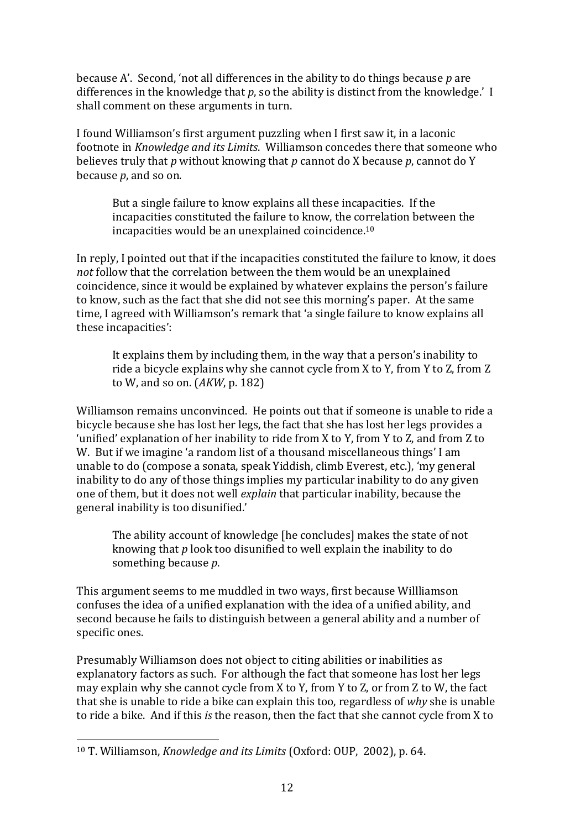because A'. Second, 'not all differences in the ability to do things because *p* are differences in the knowledge that *p*, so the ability is distinct from the knowledge.' I shall comment on these arguments in turn.

I found Williamson's first argument puzzling when I first saw it, in a laconic footnote in *Knowledge and its Limits*. Williamson concedes there that someone who believes truly that *p* without knowing that *p* cannot do X because *p*, cannot do Y because *p*, and so on.

But a single failure to know explains all these incapacities. If the incapacities constituted the failure to know, the correlation between the incapacities would be an unexplained coincidence.<sup>10</sup>

In reply, I pointed out that if the incapacities constituted the failure to know, it does *not* follow that the correlation between the them would be an unexplained coincidence, since it would be explained by whatever explains the person's failure to know, such as the fact that she did not see this morning's paper. At the same time, I agreed with Williamson's remark that 'a single failure to know explains all these incapacities':

It explains them by including them, in the way that a person's inability to ride a bicycle explains why she cannot cycle from X to Y, from Y to Z, from Z to W, and so on. (*AKW*, p. 182)

Williamson remains unconvinced. He points out that if someone is unable to ride a bicycle because she has lost her legs, the fact that she has lost her legs provides a 'unified' explanation of her inability to ride from X to Y, from Y to Z, and from Z to W. But if we imagine 'a random list of a thousand miscellaneous things' I am unable to do (compose a sonata, speak Yiddish, climb Everest, etc.), 'my general inability to do any of those things implies my particular inability to do any given one of them, but it does not well *explain* that particular inability, because the general inability is too disunified.'

The ability account of knowledge [he concludes] makes the state of not knowing that *p* look too disunified to well explain the inability to do something because *p*.

This argument seems to me muddled in two ways, first because Willliamson confuses the idea of a unified explanation with the idea of a unified ability, and second because he fails to distinguish between a general ability and a number of specific ones.

Presumably Williamson does not object to citing abilities or inabilities as explanatory factors as such. For although the fact that someone has lost her legs may explain why she cannot cycle from X to Y, from Y to Z, or from Z to W, the fact that she is unable to ride a bike can explain this too, regardless of *why* she is unable to ride a bike. And if this *is* the reason, then the fact that she cannot cycle from X to

<sup>10</sup> T. Williamson, *Knowledge and its Limits* (Oxford: OUP, 2002), p. 64.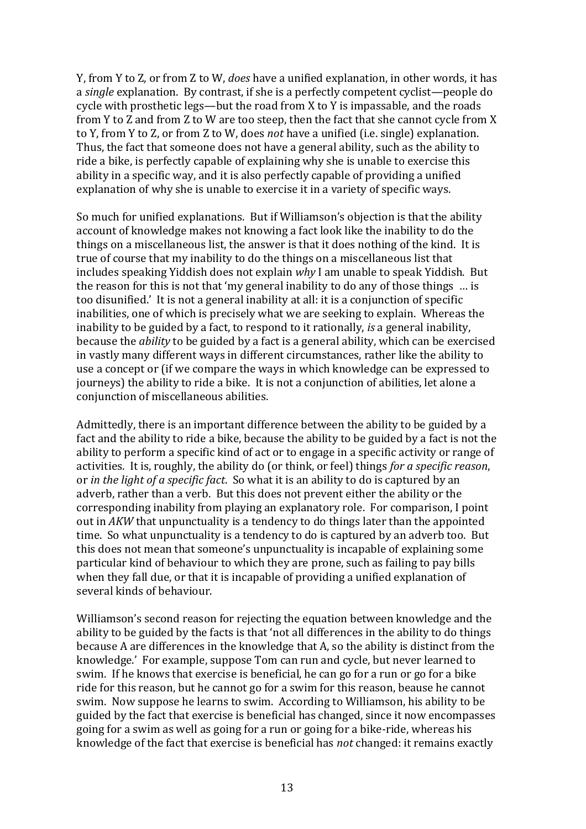Y, from Y to Z, or from Z to W, *does* have a unified explanation, in other words, it has a *single* explanation. By contrast, if she is a perfectly competent cyclist—people do cycle with prosthetic legs—but the road from X to Y is impassable, and the roads from Y to Z and from Z to W are too steep, then the fact that she cannot cycle from X to Y, from Y to Z, or from Z to W, does *not* have a unified (i.e. single) explanation. Thus, the fact that someone does not have a general ability, such as the ability to ride a bike, is perfectly capable of explaining why she is unable to exercise this ability in a specific way, and it is also perfectly capable of providing a unified explanation of why she is unable to exercise it in a variety of specific ways.

So much for unified explanations. But if Williamson's objection is that the ability account of knowledge makes not knowing a fact look like the inability to do the things on a miscellaneous list, the answer is that it does nothing of the kind. It is true of course that my inability to do the things on a miscellaneous list that includes speaking Yiddish does not explain *why* I am unable to speak Yiddish. But the reason for this is not that 'my general inability to do any of those things … is too disunified.' It is not a general inability at all: it is a conjunction of specific inabilities, one of which is precisely what we are seeking to explain. Whereas the inability to be guided by a fact, to respond to it rationally, *is* a general inability, because the *ability* to be guided by a fact is a general ability, which can be exercised in vastly many different ways in different circumstances, rather like the ability to use a concept or (if we compare the ways in which knowledge can be expressed to journeys) the ability to ride a bike. It is not a conjunction of abilities, let alone a conjunction of miscellaneous abilities.

Admittedly, there is an important difference between the ability to be guided by a fact and the ability to ride a bike, because the ability to be guided by a fact is not the ability to perform a specific kind of act or to engage in a specific activity or range of activities. It is, roughly, the ability do (or think, or feel) things *for a specific reason*, or *in the light of a specific fact*. So what it is an ability to do is captured by an adverb, rather than a verb. But this does not prevent either the ability or the corresponding inability from playing an explanatory role. For comparison, I point out in *AKW* that unpunctuality is a tendency to do things later than the appointed time. So what unpunctuality is a tendency to do is captured by an adverb too. But this does not mean that someone's unpunctuality is incapable of explaining some particular kind of behaviour to which they are prone, such as failing to pay bills when they fall due, or that it is incapable of providing a unified explanation of several kinds of behaviour.

Williamson's second reason for rejecting the equation between knowledge and the ability to be guided by the facts is that 'not all differences in the ability to do things because A are differences in the knowledge that A, so the ability is distinct from the knowledge.' For example, suppose Tom can run and cycle, but never learned to swim. If he knows that exercise is beneficial, he can go for a run or go for a bike ride for this reason, but he cannot go for a swim for this reason, beause he cannot swim. Now suppose he learns to swim. According to Williamson, his ability to be guided by the fact that exercise is beneficial has changed, since it now encompasses going for a swim as well as going for a run or going for a bike-ride, whereas his knowledge of the fact that exercise is beneficial has *not* changed: it remains exactly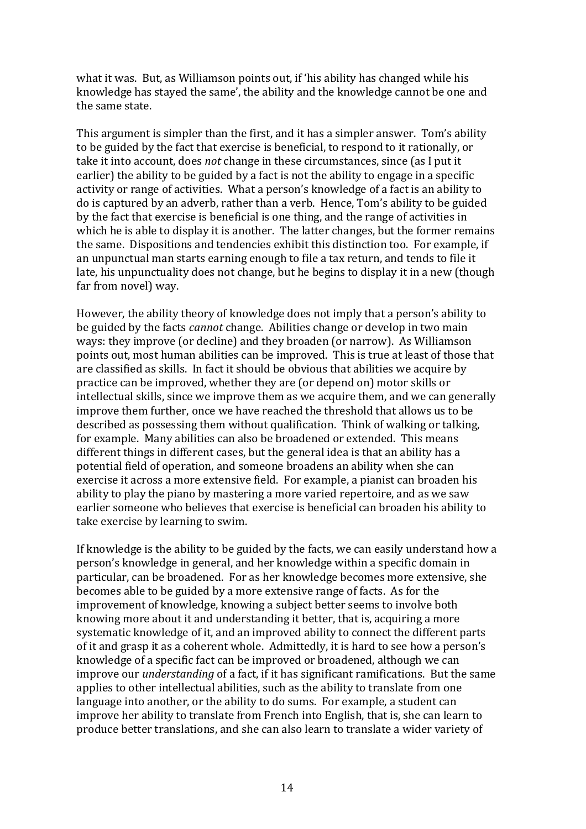what it was. But, as Williamson points out, if 'his ability has changed while his knowledge has stayed the same', the ability and the knowledge cannot be one and the same state.

This argument is simpler than the first, and it has a simpler answer. Tom's ability to be guided by the fact that exercise is beneficial, to respond to it rationally, or take it into account, does *not* change in these circumstances, since (as I put it earlier) the ability to be guided by a fact is not the ability to engage in a specific activity or range of activities. What a person's knowledge of a fact is an ability to do is captured by an adverb, rather than a verb. Hence, Tom's ability to be guided by the fact that exercise is beneficial is one thing, and the range of activities in which he is able to display it is another. The latter changes, but the former remains the same. Dispositions and tendencies exhibit this distinction too. For example, if an unpunctual man starts earning enough to file a tax return, and tends to file it late, his unpunctuality does not change, but he begins to display it in a new (though far from novel) way.

However, the ability theory of knowledge does not imply that a person's ability to be guided by the facts *cannot* change. Abilities change or develop in two main ways: they improve (or decline) and they broaden (or narrow). As Williamson points out, most human abilities can be improved. This is true at least of those that are classified as skills. In fact it should be obvious that abilities we acquire by practice can be improved, whether they are (or depend on) motor skills or intellectual skills, since we improve them as we acquire them, and we can generally improve them further, once we have reached the threshold that allows us to be described as possessing them without qualification. Think of walking or talking, for example. Many abilities can also be broadened or extended. This means different things in different cases, but the general idea is that an ability has a potential field of operation, and someone broadens an ability when she can exercise it across a more extensive field. For example, a pianist can broaden his ability to play the piano by mastering a more varied repertoire, and as we saw earlier someone who believes that exercise is beneficial can broaden his ability to take exercise by learning to swim.

If knowledge is the ability to be guided by the facts, we can easily understand how a person's knowledge in general, and her knowledge within a specific domain in particular, can be broadened. For as her knowledge becomes more extensive, she becomes able to be guided by a more extensive range of facts. As for the improvement of knowledge, knowing a subject better seems to involve both knowing more about it and understanding it better, that is, acquiring a more systematic knowledge of it, and an improved ability to connect the different parts of it and grasp it as a coherent whole. Admittedly, it is hard to see how a person's knowledge of a specific fact can be improved or broadened, although we can improve our *understanding* of a fact, if it has significant ramifications. But the same applies to other intellectual abilities, such as the ability to translate from one language into another, or the ability to do sums. For example, a student can improve her ability to translate from French into English, that is, she can learn to produce better translations, and she can also learn to translate a wider variety of